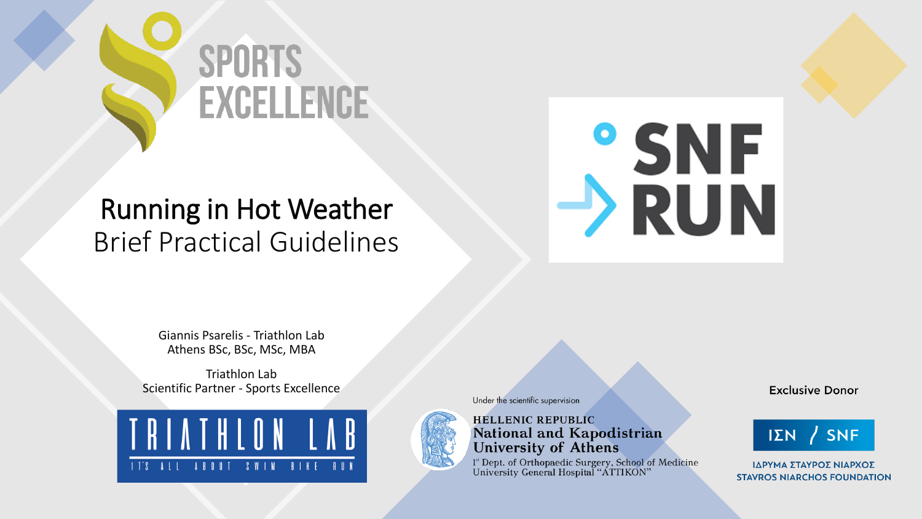

#### Running in Hot Weather Brief Practical Guidelines



Giannis Psarelis - Triathlon Lab Athens BSc, BSc, MSc, ΜΒΑ

Triathlon Lab Scientific Partner - Sports Excellence





Under the scientific supervision

**HELLENIC REPUBLIC National and Kapodistrian<br>University of Athens** 

<sup>1</sup> Dept. of Orthopaedic Surgery, School of Medicine<br>University General Hospital "ATTIKON"

**Exclusive Donor** 



ΙΔΡΥΜΑ ΣΤΑΥΡΟΣ ΝΙΑΡΧΟΣ **STAVROS NIARCHOS FOUNDATION**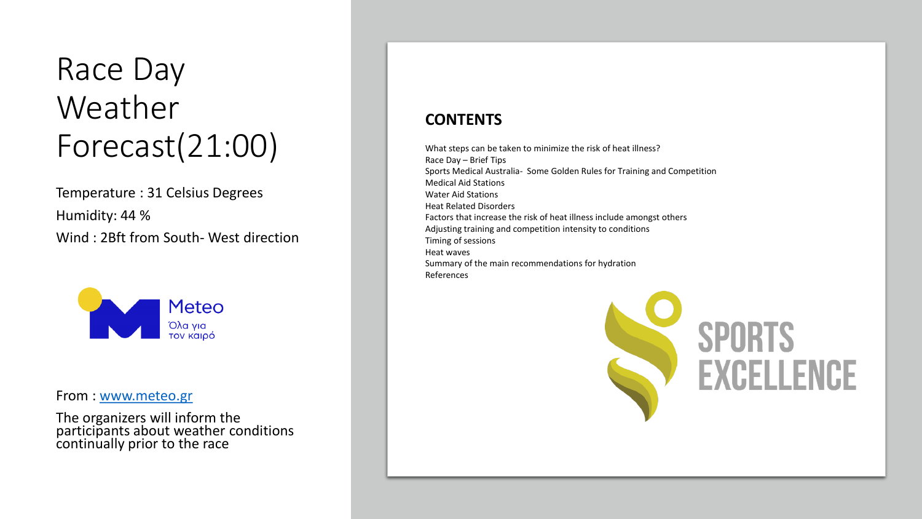### Race Day Weather Forecast(21:00)

Temperature : 31 Celsius Degrees Humidity: 44 % Wind : 2Bft from South- West direction



From : [www.meteo.gr](http://www.meteo.gr/)

The organizers will inform the participants about weather conditions continually prior to the race

#### **CONTENTS**

What steps can be taken to minimize the risk of heat illness? Race Day – Brief Tips Sports Medical Australia- Some Golden Rules for Training and Competition Medical Aid Stations Water Aid Stations Heat Related Disorders Factors that increase the risk of heat illness include amongst others Adjusting training and competition intensity to conditions Timing of sessions Heat waves Summary of the main recommendations for hydration References

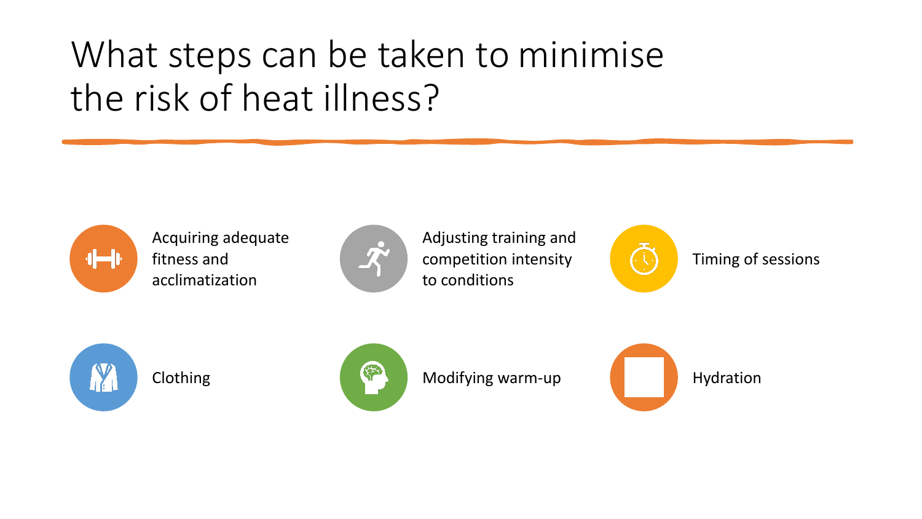## What steps can be taken to minimise the risk of heat illness?



Acquiring adequate fitness and acclimatization



Adjusting training and competition intensity to conditions



Timing of sessions





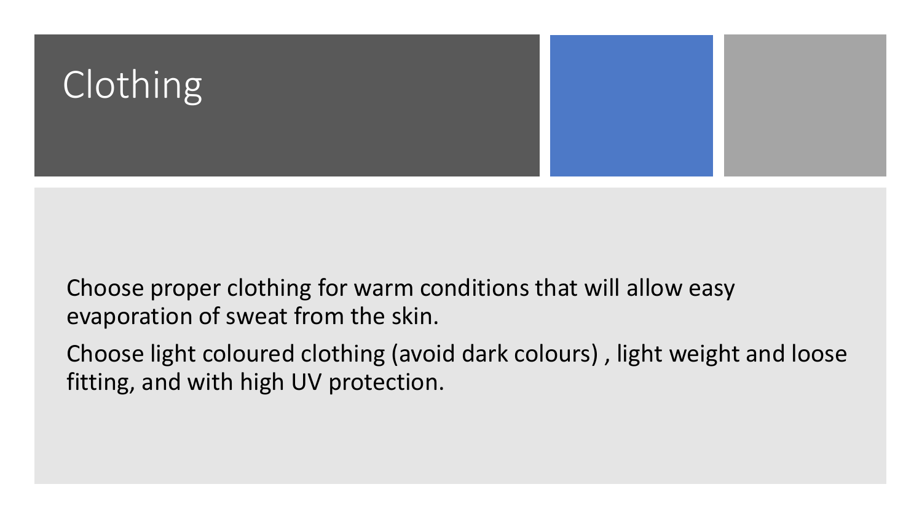

Choose proper clothing for warm conditions that will allow easy evaporation of sweat from the skin.

Choose light coloured clothing (avoid dark colours) , light weight and loose fitting, and with high UV protection.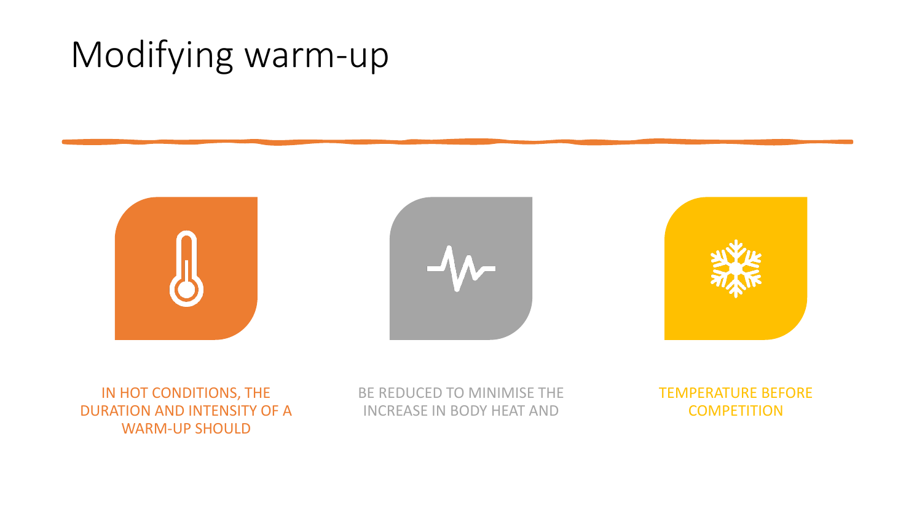## Modifying warm-up







#### IN HOT CONDITIONS, THE DURATION AND INTENSITY OF A WARM-UP SHOULD

BE REDUCED TO MINIMISE THE INCREASE IN BODY HEAT AND

TEMPERATURE BEFORE **COMPETITION**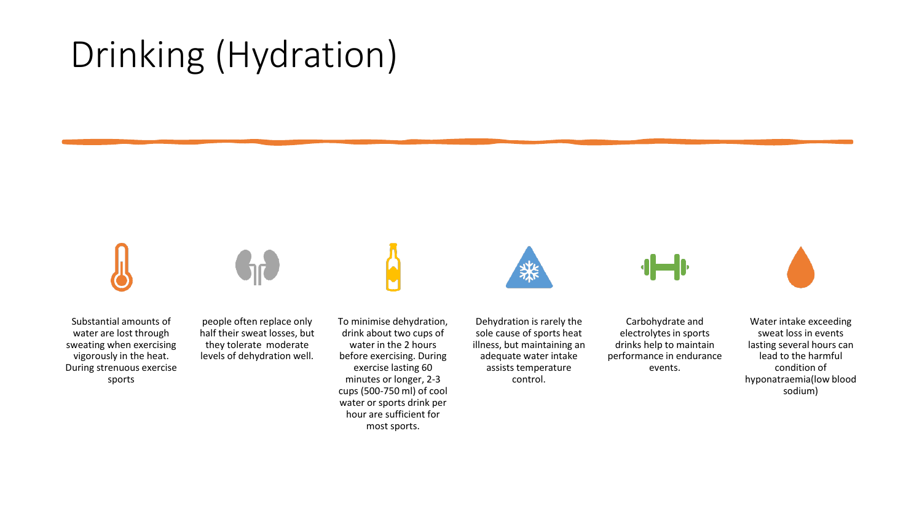## Drinking (Hydration)

Substantial amounts of water are lost through sweating when exercising vigorously in the heat. During strenuous exercise sports



people often replace only half their sweat losses, but they tolerate moderate levels of dehydration well.

To minimise dehydration, drink about two cups of water in the 2 hours before exercising. During exercise lasting 60 minutes or longer, 2-3 cups (500-750 ml) of cool water or sports drink per hour are sufficient for most sports.



Dehydration is rarely the sole cause of sports heat illness, but maintaining an adequate water intake assists temperature control.

Carbohydrate and electrolytes in sports drinks help to maintain performance in endurance events.



Water intake exceeding sweat loss in events lasting several hours can lead to the harmful condition of hyponatraemia(low blood sodium)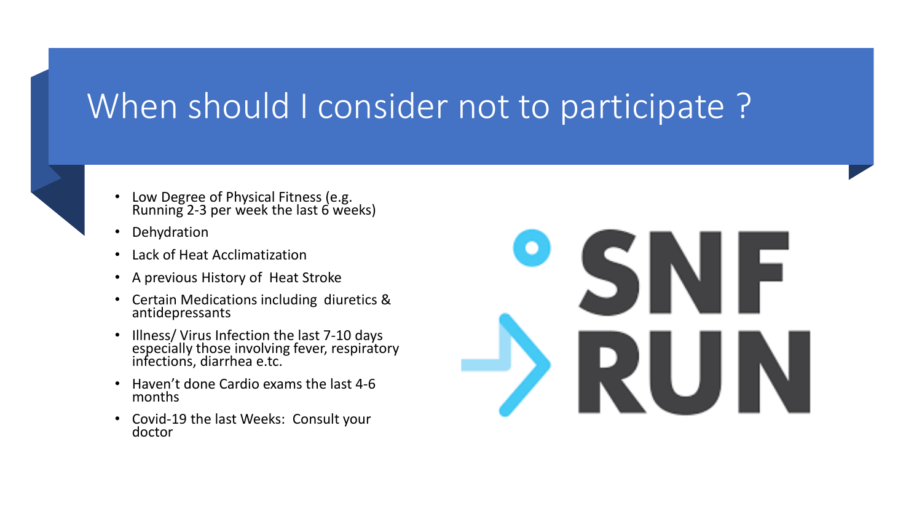#### When should I consider not to participate?



- Low Degree of Physical Fitness (e.g. Running 2-3 per week the last 6 weeks)
- Dehydration
- Lack of Heat Acclimatization
- A previous History of Heat Stroke
- Certain Medications including diuretics & antidepressants
- Illness/ Virus Infection the last 7-10 days especially those involving fever, respiratory infections, diarrhea e.tc.
- Haven't done Cardio exams the last 4-6 months
- Covid-19 the last Weeks: Consult your doctor

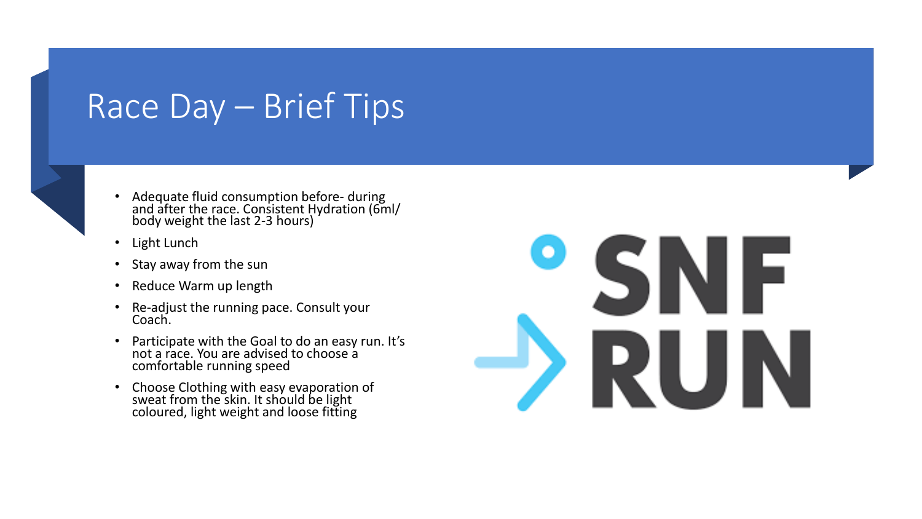### Race Day – Brief Tips



- Adequate fluid consumption before- during and after the race. Consistent Hydration (6ml/ body weight the last 2-3 hours)
- Light Lunch
- Stay away from the sun
- Reduce Warm up length
- Re-adjust the running pace. Consult your Coach.
- Participate with the Goal to do an easy run. It's not a race. You are advised to choose a comfortable running speed
- Choose Clothing with easy evaporation of sweat from the skin. It should be light coloured, light weight and loose fitting

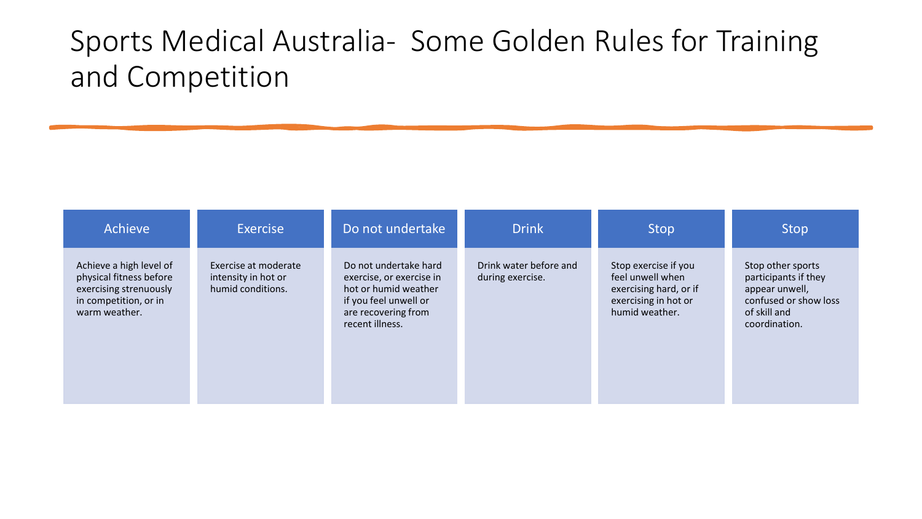#### Sports Medical Australia- Some Golden Rules for Training and Competition

| Achieve                                                                                                                | Exercise                                                         | Do not undertake                                                                                                                             | <b>Drink</b>                               | <b>Stop</b>                                                                                                  | Stop                                                                                                                  |
|------------------------------------------------------------------------------------------------------------------------|------------------------------------------------------------------|----------------------------------------------------------------------------------------------------------------------------------------------|--------------------------------------------|--------------------------------------------------------------------------------------------------------------|-----------------------------------------------------------------------------------------------------------------------|
| Achieve a high level of<br>physical fitness before<br>exercising strenuously<br>in competition, or in<br>warm weather. | Exercise at moderate<br>intensity in hot or<br>humid conditions. | Do not undertake hard<br>exercise, or exercise in<br>hot or humid weather<br>if you feel unwell or<br>are recovering from<br>recent illness. | Drink water before and<br>during exercise. | Stop exercise if you<br>feel unwell when<br>exercising hard, or if<br>exercising in hot or<br>humid weather. | Stop other sports<br>participants if they<br>appear unwell,<br>confused or show loss<br>of skill and<br>coordination. |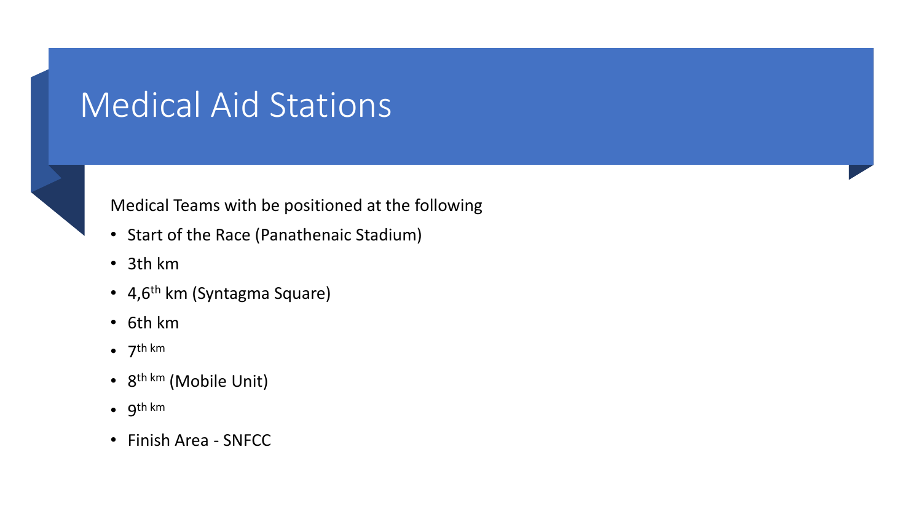### Medical Aid Stations



#### Medical Teams with be positioned at the following

- Start of the Race (Panathenaic Stadium)
- 3th km
- 4,6<sup>th</sup> km (Syntagma Square)
- 6th km
- $\bullet$  7<sup>th km</sup>
- 8<sup>th km</sup> (Mobile Unit)
- 9 th km
- Finish Area SNFCC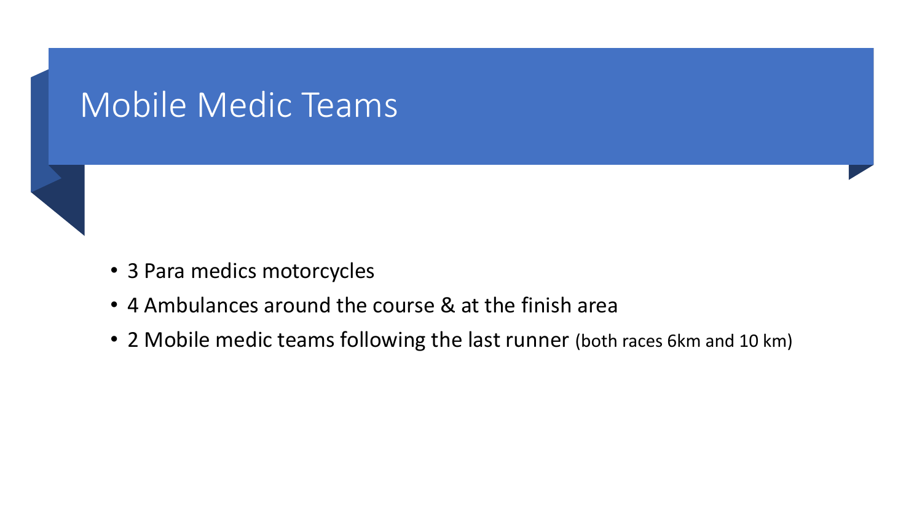#### Mobile Medic Teams



- 3 Para medics motorcycles
- 4 Ambulances around the course & at the finish area
- 2 Mobile medic teams following the last runner (both races 6km and 10 km)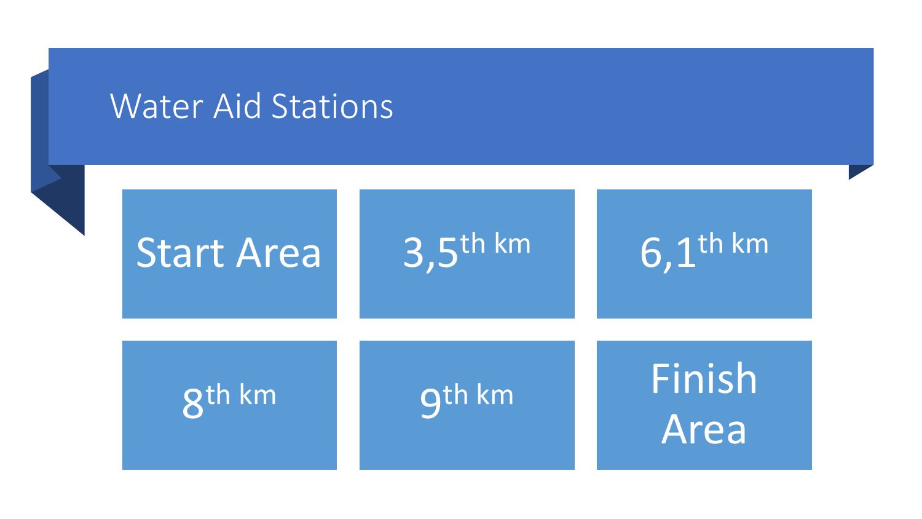#### Water Aid Stations

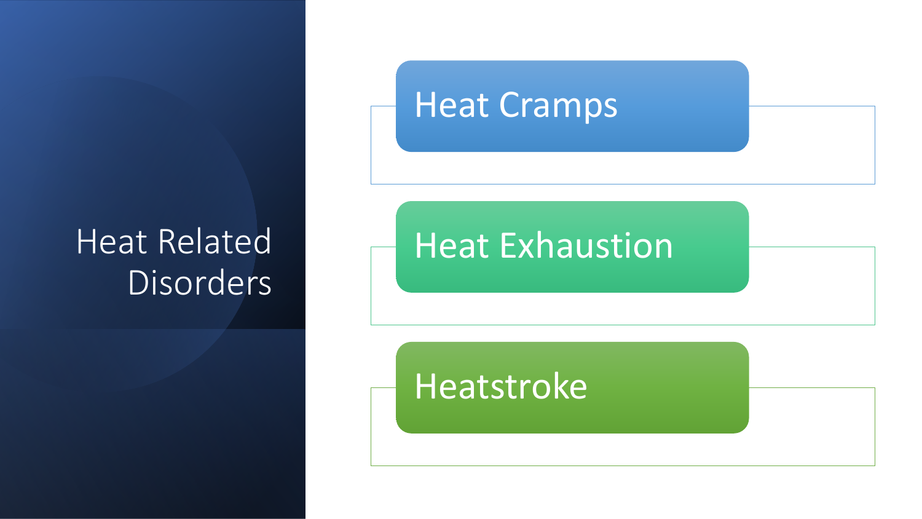### Heat Related **Disorders**

#### Heat Cramps

#### Heat Exhaustion

### Heatstroke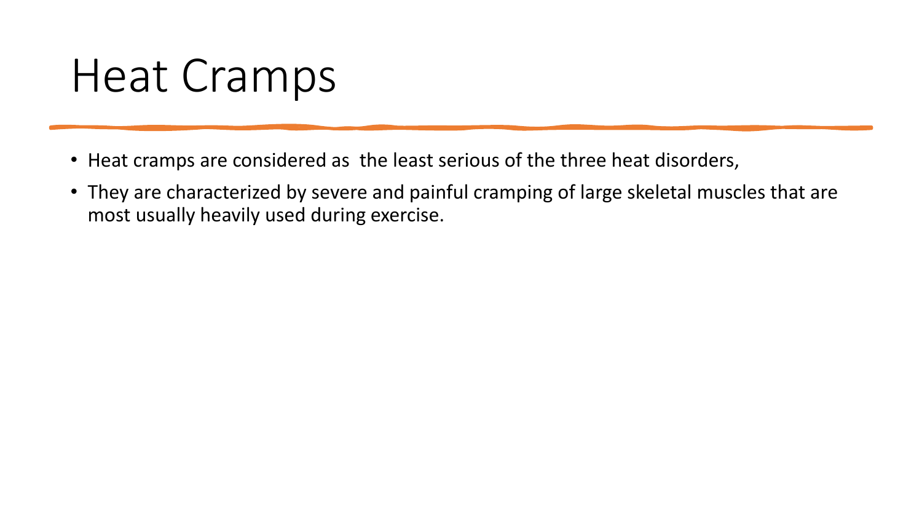# Heat Cramps

- Heat cramps are considered as the least serious of the three heat disorders,
- They are characterized by severe and painful cramping of large skeletal muscles that are most usually heavily used during exercise.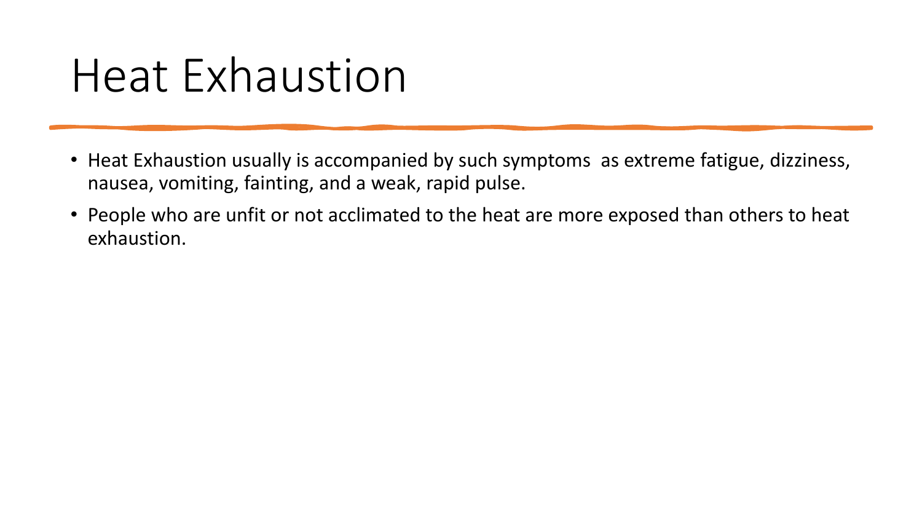# Heat Exhaustion

- Heat Exhaustion usually is accompanied by such symptoms as extreme fatigue, dizziness, nausea, vomiting, fainting, and a weak, rapid pulse.
- People who are unfit or not acclimated to the heat are more exposed than others to heat exhaustion.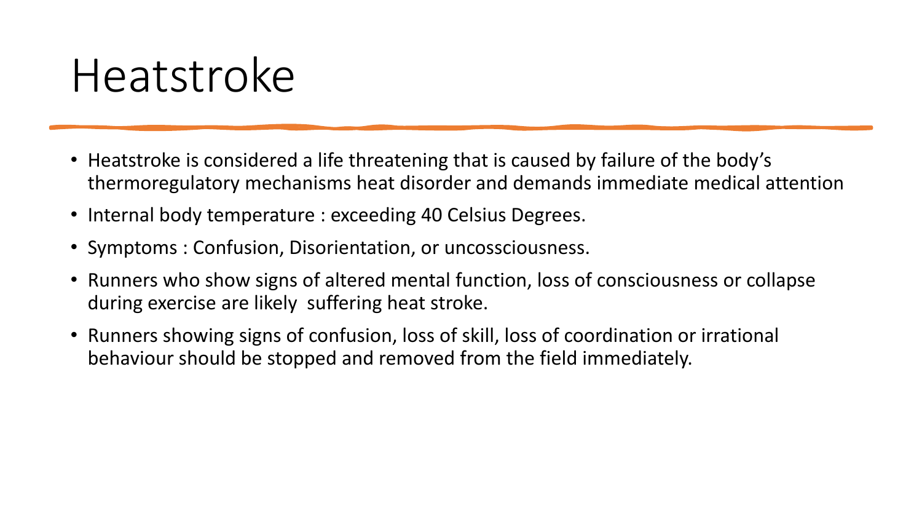# Heatstroke

- Heatstroke is considered a life threatening that is caused by failure of the body's thermoregulatory mechanisms heat disorder and demands immediate medical attention
- Internal body temperature : exceeding 40 Celsius Degrees.
- Symptoms : Confusion, Disorientation, or uncossciousness.
- Runners who show signs of altered mental function, loss of consciousness or collapse during exercise are likely suffering heat stroke.
- Runners showing signs of confusion, loss of skill, loss of coordination or irrational behaviour should be stopped and removed from the field immediately.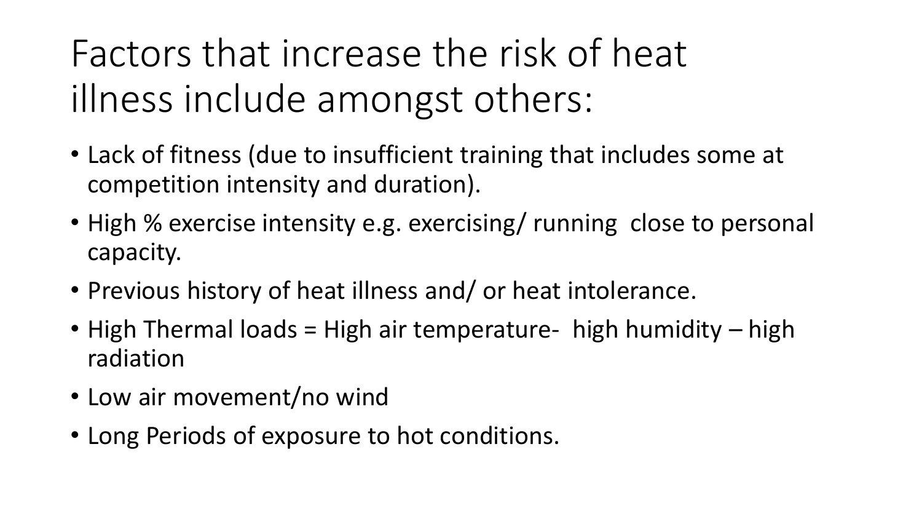Factors that increase the risk of heat illness include amongst others:

- Lack of fitness (due to insufficient training that includes some at competition intensity and duration).
- High % exercise intensity e.g. exercising/ running close to personal capacity.
- Previous history of heat illness and/ or heat intolerance.
- High Thermal loads = High air temperature- high humidity high radiation
- Low air movement/no wind
- Long Periods of exposure to hot conditions.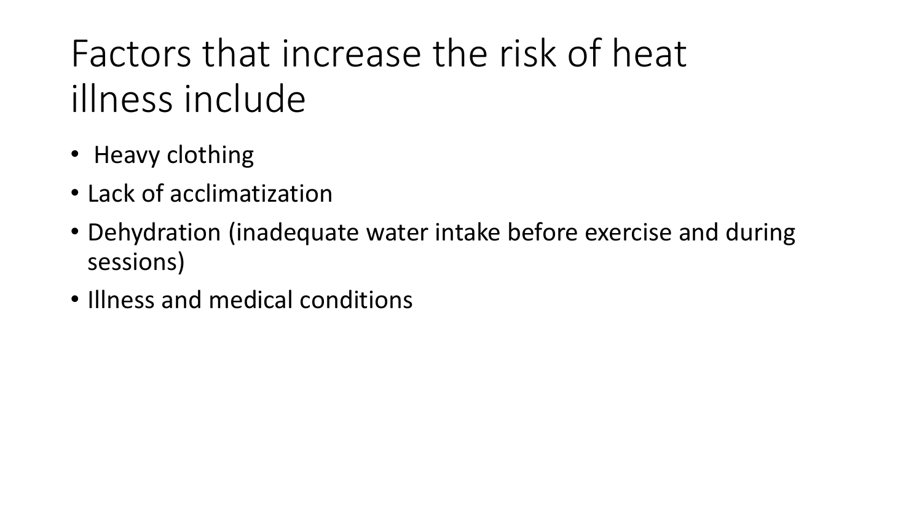Factors that increase the risk of heat illness include

- Heavy clothing
- Lack of acclimatization
- Dehydration (inadequate water intake before exercise and during sessions)
- Illness and medical conditions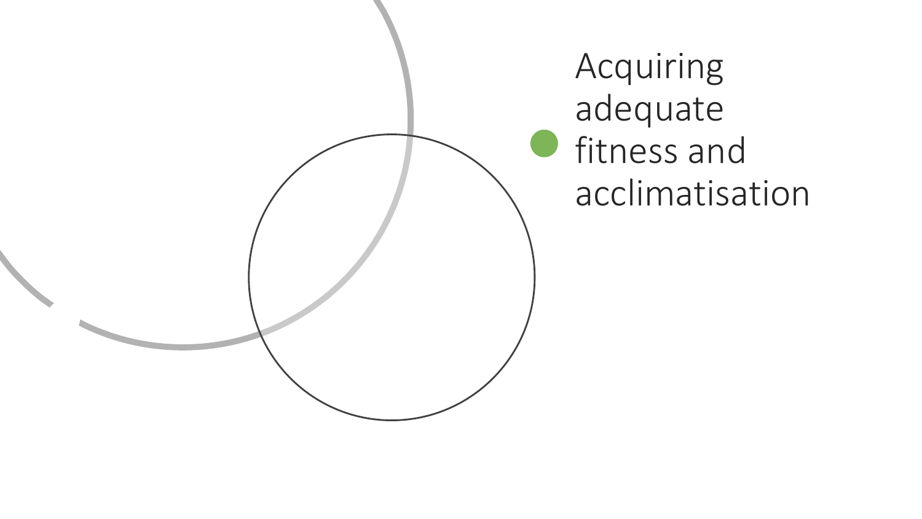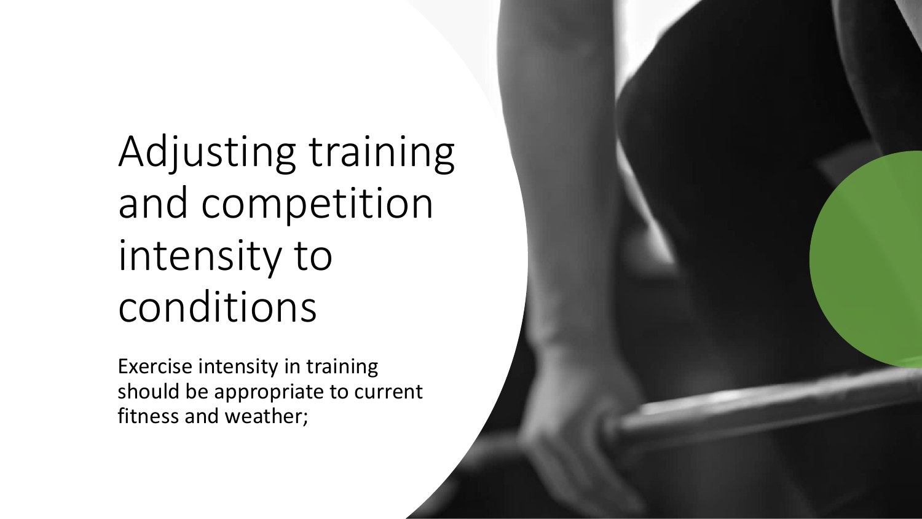Adjusting training and competition intensity to conditions

Exercise intensity in training should be appropriate to current fitness and weather;

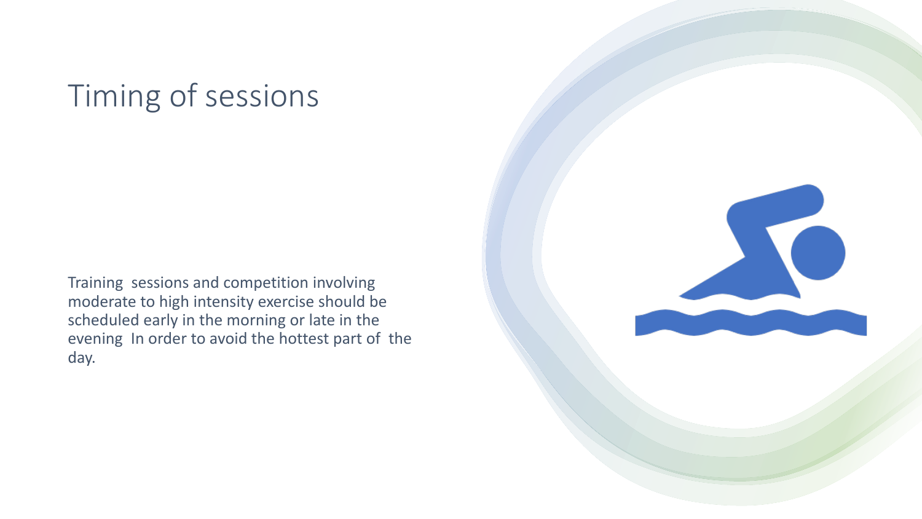#### Timing of sessions

Training sessions and competition involving moderate to high intensity exercise should be scheduled early in the morning or late in the evening In order to avoid the hottest part of the day.

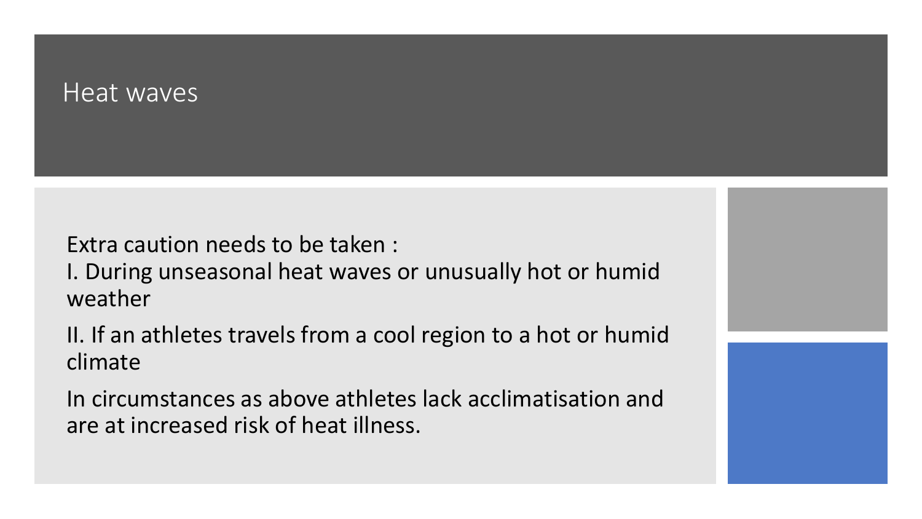#### Heat waves

Extra caution needs to be taken :

I. During unseasonal heat waves or unusually hot or humid weather

II. If an athletes travels from a cool region to a hot or humid climate

In circumstances as above athletes lack acclimatisation and are at increased risk of heat illness.

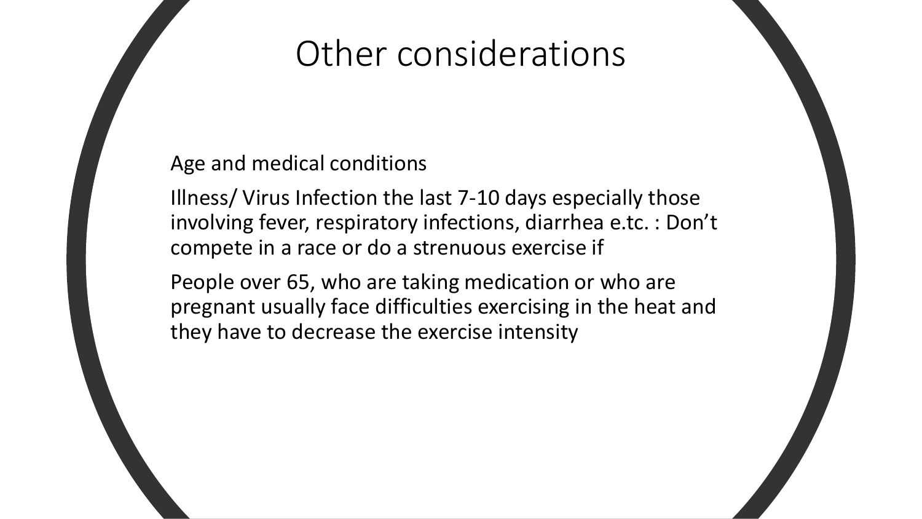### Other considerations

#### Age and medical conditions

Illness/ Virus Infection the last 7-10 days especially those involving fever, respiratory infections, diarrhea e.tc. : Don't compete in a race or do a strenuous exercise if

People over 65, who are taking medication or who are pregnant usually face difficulties exercising in the heat and they have to decrease the exercise intensity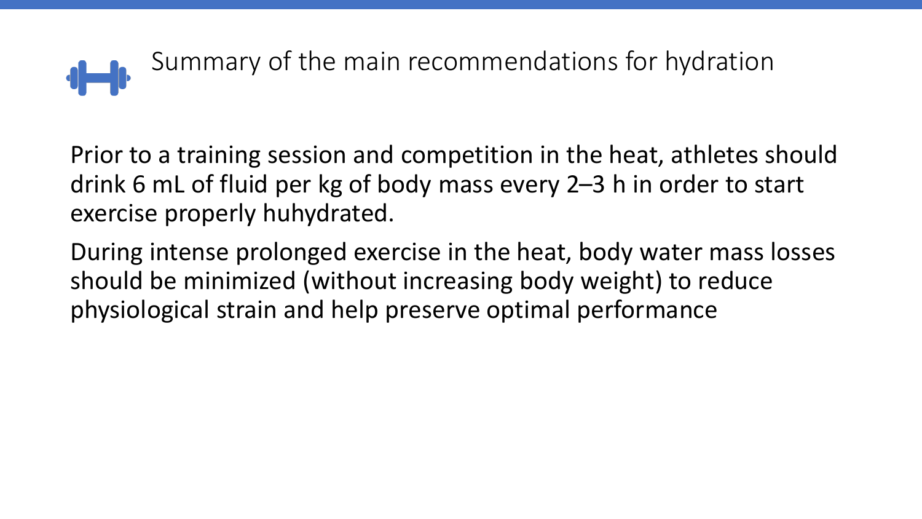

Prior to a training session and competition in the heat, athletes should drink 6 mL of fluid per kg of body mass every 2–3 h in order to start exercise properly huhydrated.

During intense prolonged exercise in the heat, body water mass losses should be minimized (without increasing body weight) to reduce physiological strain and help preserve optimal performance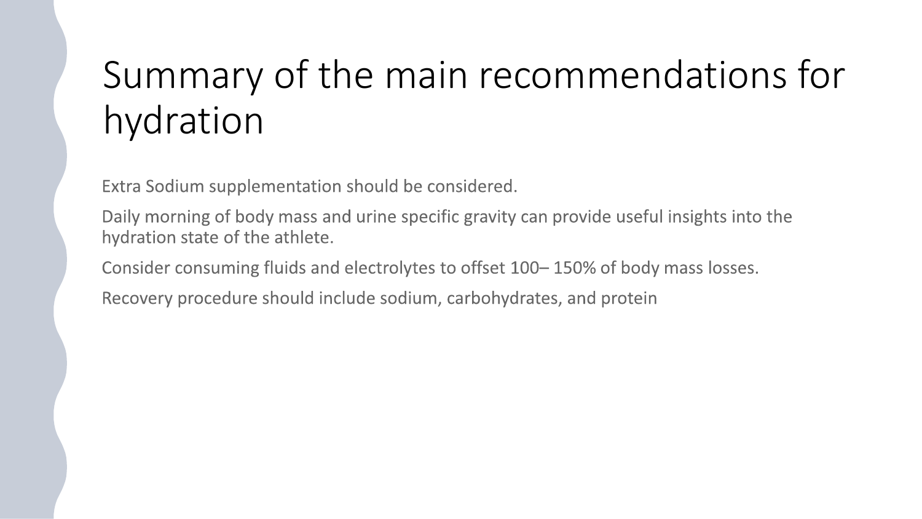# Summary of the main recommendations for hydration

Extra Sodium supplementation should be considered.

Daily morning of body mass and urine specific gravity can provide useful insights into the hydration state of the athlete.

Consider consuming fluids and electrolytes to offset 100-150% of body mass losses.

Recovery procedure should include sodium, carbohydrates, and protein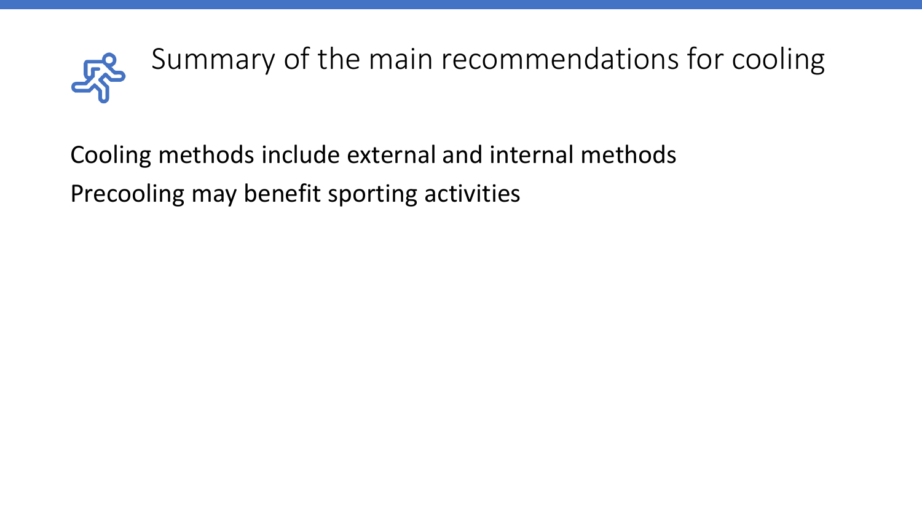

Cooling methods include external and internal methods Precooling may benefit sporting activities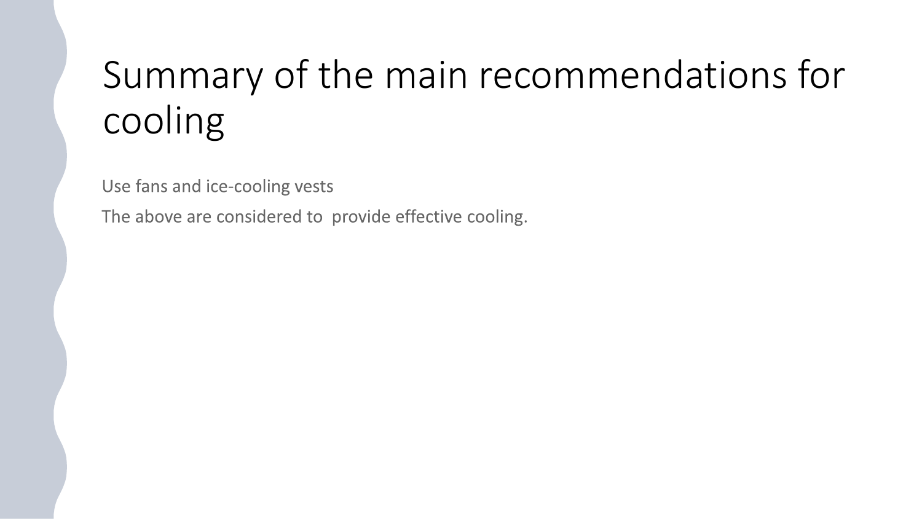# Summary of the main recommendations for cooling

Use fans and ice-cooling vests

The above are considered to provide effective cooling.